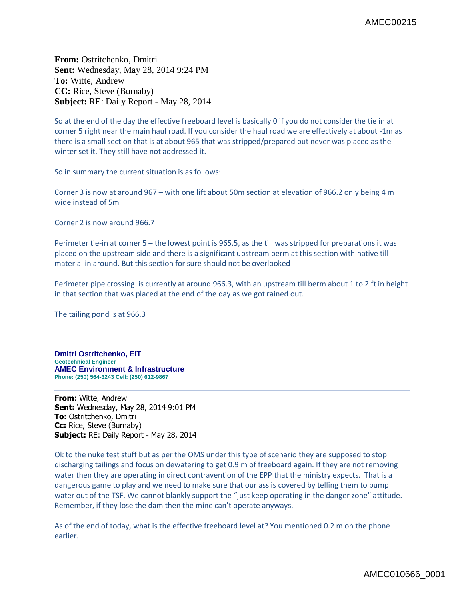**From:** Ostritchenko, Dmitri **Sent:** Wednesday, May 28, 2014 9:24 PM **To:** Witte, Andrew **CC:** Rice, Steve (Burnaby) **Subject:** RE: Daily Report - May 28, 2014

So at the end of the day the effective freeboard level is basically 0 if you do not consider the tie in at corner 5 right near the main haul road. If you consider the haul road we are effectively at about -1m as there is a small section that is at about 965 that was stripped/prepared but never was placed as the winter set it. They still have not addressed it.

So in summary the current situation is as follows:

Corner 3 is now at around 967 – with one lift about 50m section at elevation of 966.2 only being 4 m wide instead of 5m

Corner 2 is now around 966.7

Perimeter tie-in at corner 5 – the lowest point is 965.5, as the till was stripped for preparations it was placed on the upstream side and there is a significant upstream berm at this section with native till material in around. But this section for sure should not be overlooked

Perimeter pipe crossing is currently at around 966.3, with an upstream till berm about 1 to 2 ft in height in that section that was placed at the end of the day as we got rained out.

The tailing pond is at 966.3

**Dmitri Ostritchenko, EIT Geotechnical Engineer AMEC Environment & Infrastructure Phone: (250) 564-3243 Cell: (250) 612-9867**

**From:** Witte, Andrew **Sent:** Wednesday, May 28, 2014 9:01 PM **To:** Ostritchenko, Dmitri **Cc:** Rice, Steve (Burnaby) **Subject:** RE: Daily Report - May 28, 2014

Ok to the nuke test stuff but as per the OMS under this type of scenario they are supposed to stop discharging tailings and focus on dewatering to get 0.9 m of freeboard again. If they are not removing water then they are operating in direct contravention of the EPP that the ministry expects. That is a dangerous game to play and we need to make sure that our ass is covered by telling them to pump water out of the TSF. We cannot blankly support the "just keep operating in the danger zone" attitude. Remember, if they lose the dam then the mine can't operate anyways.

As of the end of today, what is the effective freeboard level at? You mentioned 0.2 m on the phone earlier.